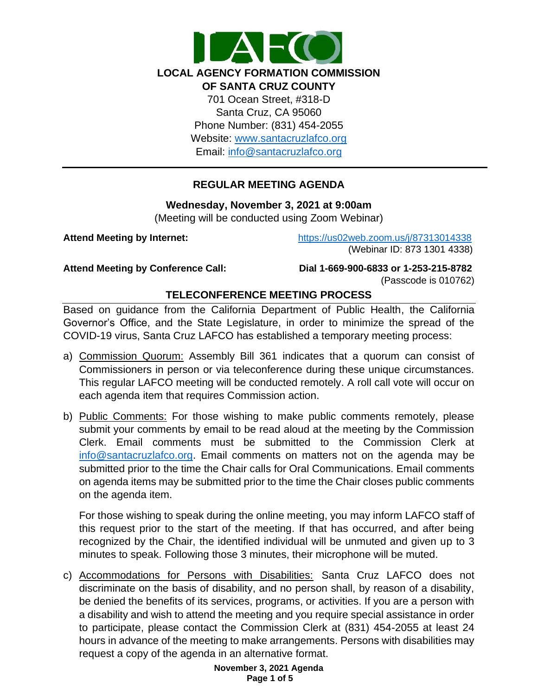

## **REGULAR MEETING AGENDA**

#### **Wednesday, November 3, 2021 at 9:00am**

(Meeting will be conducted using Zoom Webinar)

**Attend Meeting by Internet:** <https://us02web.zoom.us/j/87313014338> (Webinar ID: 873 1301 4338)

**Attend Meeting by Conference Call: Dial 1-669-900-6833 or 1-253-215-8782** 

(Passcode is 010762)

# **TELECONFERENCE MEETING PROCESS**

Based on guidance from the California Department of Public Health, the California Governor's Office, and the State Legislature, in order to minimize the spread of the COVID-19 virus, Santa Cruz LAFCO has established a temporary meeting process:

- a) Commission Quorum: Assembly Bill 361 indicates that a quorum can consist of Commissioners in person or via teleconference during these unique circumstances. This regular LAFCO meeting will be conducted remotely. A roll call vote will occur on each agenda item that requires Commission action.
- b) Public Comments: For those wishing to make public comments remotely, please submit your comments by email to be read aloud at the meeting by the Commission Clerk. Email comments must be submitted to the Commission Clerk at [info@santacruzlafco.org.](mailto:info@santacruzlafco.org) Email comments on matters not on the agenda may be submitted prior to the time the Chair calls for Oral Communications. Email comments on agenda items may be submitted prior to the time the Chair closes public comments on the agenda item.

For those wishing to speak during the online meeting, you may inform LAFCO staff of this request prior to the start of the meeting. If that has occurred, and after being recognized by the Chair, the identified individual will be unmuted and given up to 3 minutes to speak. Following those 3 minutes, their microphone will be muted.

c) Accommodations for Persons with Disabilities: Santa Cruz LAFCO does not discriminate on the basis of disability, and no person shall, by reason of a disability, be denied the benefits of its services, programs, or activities. If you are a person with a disability and wish to attend the meeting and you require special assistance in order to participate, please contact the Commission Clerk at (831) 454-2055 at least 24 hours in advance of the meeting to make arrangements. Persons with disabilities may request a copy of the agenda in an alternative format.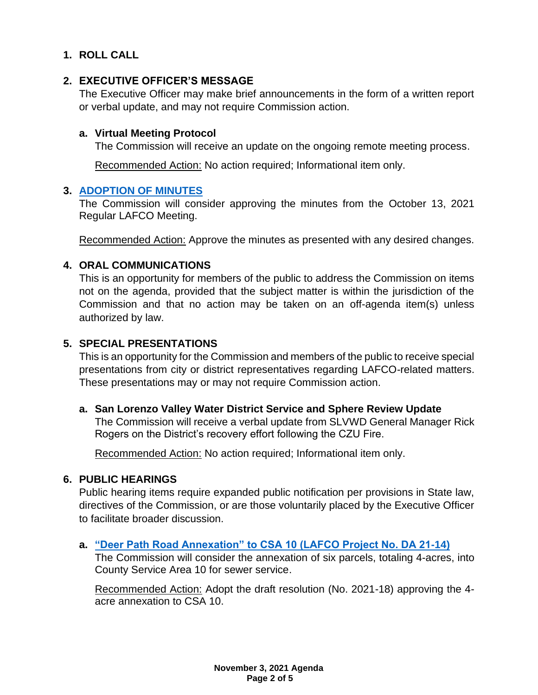# **1. ROLL CALL**

## **2. EXECUTIVE OFFICER'S MESSAGE**

The Executive Officer may make brief announcements in the form of a written report or verbal update, and may not require Commission action.

### **a. Virtual Meeting Protocol**

The Commission will receive an update on the ongoing remote meeting process.

Recommended Action: No action required; Informational item only.

### **3. [ADOPTION OF MINUTES](https://www.santacruzlafco.org/wp-content/uploads/2021/10/3.0-Draft-Minutes-Oct-13-Meeting.pdf)**

The Commission will consider approving the minutes from the October 13, 2021 Regular LAFCO Meeting.

Recommended Action: Approve the minutes as presented with any desired changes.

## **4. ORAL COMMUNICATIONS**

This is an opportunity for members of the public to address the Commission on items not on the agenda, provided that the subject matter is within the jurisdiction of the Commission and that no action may be taken on an off-agenda item(s) unless authorized by law.

## **5. SPECIAL PRESENTATIONS**

This is an opportunity for the Commission and members of the public to receive special presentations from city or district representatives regarding LAFCO-related matters. These presentations may or may not require Commission action.

## **a. San Lorenzo Valley Water District Service and Sphere Review Update**

The Commission will receive a verbal update from SLVWD General Manager Rick Rogers on the District's recovery effort following the CZU Fire.

Recommended Action: No action required; Informational item only.

## **6. PUBLIC HEARINGS**

Public hearing items require expanded public notification per provisions in State law, directives of the Commission, or are those voluntarily placed by the Executive Officer to facilitate broader discussion.

## **a. ["Deer Path Road Annexation" to CSA 10 \(LAFCO Project No. DA 21-14\)](https://www.santacruzlafco.org/wp-content/uploads/2021/10/6a.0-Deer-Path-Road-Annexation-Staff-Report_Hyperlink.pdf)**

The Commission will consider the annexation of six parcels, totaling 4-acres, into County Service Area 10 for sewer service.

Recommended Action: Adopt the draft resolution (No. 2021-18) approving the 4 acre annexation to CSA 10.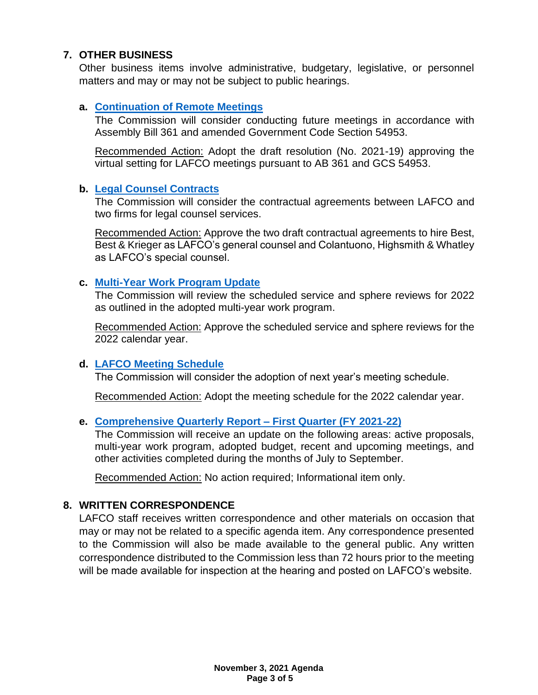# **7. OTHER BUSINESS**

Other business items involve administrative, budgetary, legislative, or personnel matters and may or may not be subject to public hearings.

## **a. [Continuation of Remote Meetings](https://www.santacruzlafco.org/wp-content/uploads/2021/10/7a.0-Continuation-of-Remote-Meetings-Staff-Report_Hyperlink.pdf)**

The Commission will consider conducting future meetings in accordance with Assembly Bill 361 and amended Government Code Section 54953.

Recommended Action: Adopt the draft resolution (No. 2021-19) approving the virtual setting for LAFCO meetings pursuant to AB 361 and GCS 54953.

### **b. [Legal Counsel Contracts](https://www.santacruzlafco.org/wp-content/uploads/2021/10/7b.0-Legal-Counsel-Contracts-Staff-Report_Hyperlink.pdf)**

The Commission will consider the contractual agreements between LAFCO and two firms for legal counsel services.

Recommended Action: Approve the two draft contractual agreements to hire Best, Best & Krieger as LAFCO's general counsel and Colantuono, Highsmith & Whatley as LAFCO's special counsel.

### **c. [Multi-Year Work Program Update](https://www.santacruzlafco.org/wp-content/uploads/2021/10/7c.0-Work-Program-Staff-Report_Hyperlink.pdf)**

The Commission will review the scheduled service and sphere reviews for 2022 as outlined in the adopted multi-year work program.

Recommended Action: Approve the scheduled service and sphere reviews for the 2022 calendar year.

## **d. [LAFCO Meeting Schedule](https://www.santacruzlafco.org/wp-content/uploads/2021/10/7d.0-Meeting-Schedule-Staff-Report_Hyperlink.pdf)**

The Commission will consider the adoption of next year's meeting schedule.

Recommended Action: Adopt the meeting schedule for the 2022 calendar year.

## **e. [Comprehensive Quarterly Report –](https://www.santacruzlafco.org/wp-content/uploads/2021/10/7e.0-Comp-Quarterly-Update-Staff-Report_Hyperlink.pdf) First Quarter (FY 2021-22)**

The Commission will receive an update on the following areas: active proposals, multi-year work program, adopted budget, recent and upcoming meetings, and other activities completed during the months of July to September.

Recommended Action: No action required; Informational item only.

## **8. WRITTEN CORRESPONDENCE**

LAFCO staff receives written correspondence and other materials on occasion that may or may not be related to a specific agenda item. Any correspondence presented to the Commission will also be made available to the general public. Any written correspondence distributed to the Commission less than 72 hours prior to the meeting will be made available for inspection at the hearing and posted on LAFCO's website.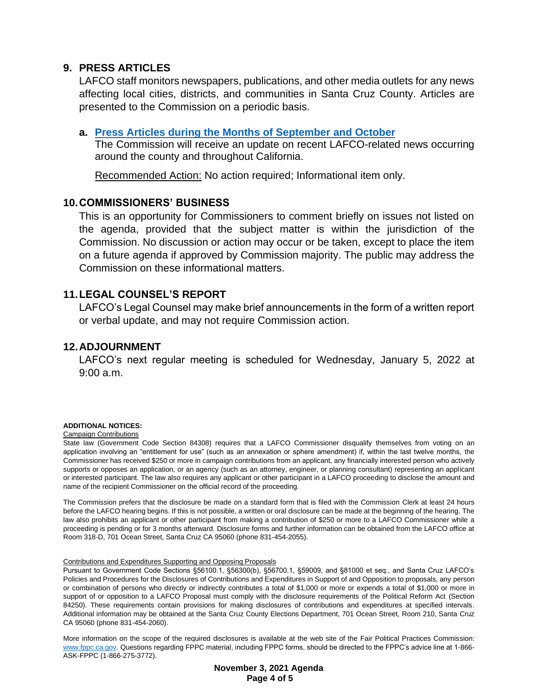### **9. PRESS ARTICLES**

LAFCO staff monitors newspapers, publications, and other media outlets for any news affecting local cities, districts, and communities in Santa Cruz County. Articles are presented to the Commission on a periodic basis.

### **a. [Press Articles during the Months of September](https://www.santacruzlafco.org/wp-content/uploads/2021/10/9a.0-Press-Articles-Staff-Report_Hyperlink.pdf) and October**

The Commission will receive an update on recent LAFCO-related news occurring around the county and throughout California.

Recommended Action: No action required; Informational item only.

### **10.COMMISSIONERS' BUSINESS**

This is an opportunity for Commissioners to comment briefly on issues not listed on the agenda, provided that the subject matter is within the jurisdiction of the Commission. No discussion or action may occur or be taken, except to place the item on a future agenda if approved by Commission majority. The public may address the Commission on these informational matters.

## **11.LEGAL COUNSEL'S REPORT**

LAFCO's Legal Counsel may make brief announcements in the form of a written report or verbal update, and may not require Commission action.

## **12.ADJOURNMENT**

LAFCO's next regular meeting is scheduled for Wednesday, January 5, 2022 at 9:00 a.m.

#### **ADDITIONAL NOTICES:**

#### Campaign Contributions

State law (Government Code Section 84308) requires that a LAFCO Commissioner disqualify themselves from voting on an application involving an "entitlement for use" (such as an annexation or sphere amendment) if, within the last twelve months, the Commissioner has received \$250 or more in campaign contributions from an applicant, any financially interested person who actively supports or opposes an application, or an agency (such as an attorney, engineer, or planning consultant) representing an applicant or interested participant. The law also requires any applicant or other participant in a LAFCO proceeding to disclose the amount and name of the recipient Commissioner on the official record of the proceeding.

The Commission prefers that the disclosure be made on a standard form that is filed with the Commission Clerk at least 24 hours before the LAFCO hearing begins. If this is not possible, a written or oral disclosure can be made at the beginning of the hearing. The law also prohibits an applicant or other participant from making a contribution of \$250 or more to a LAFCO Commissioner while a proceeding is pending or for 3 months afterward. Disclosure forms and further information can be obtained from the LAFCO office at Room 318-D, 701 Ocean Street, Santa Cruz CA 95060 (phone 831-454-2055).

#### Contributions and Expenditures Supporting and Opposing Proposals

Pursuant to Government Code Sections §56100.1, §56300(b), §56700.1, §59009, and §81000 et seq., and Santa Cruz LAFCO's Policies and Procedures for the Disclosures of Contributions and Expenditures in Support of and Opposition to proposals, any person or combination of persons who directly or indirectly contributes a total of \$1,000 or more or expends a total of \$1,000 or more in support of or opposition to a LAFCO Proposal must comply with the disclosure requirements of the Political Reform Act (Section 84250). These requirements contain provisions for making disclosures of contributions and expenditures at specified intervals. Additional information may be obtained at the Santa Cruz County Elections Department, 701 Ocean Street, Room 210, Santa Cruz CA 95060 (phone 831-454-2060).

More information on the scope of the required disclosures is available at the web site of the Fair Political Practices Commission: [www.fppc.ca.gov.](http://www.fppc.ca.gov/) Questions regarding FPPC material, including FPPC forms, should be directed to the FPPC's advice line at 1-866- ASK-FPPC (1-866-275-3772).

> **November 3, 2021 Agenda Page 4 of 5**